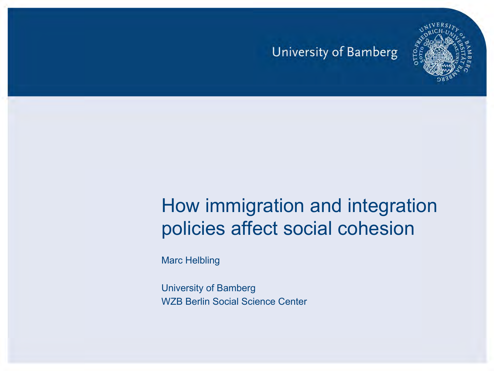

#### How immigration and integration policies affect social cohesion

Marc Helbling

University of Bamberg WZB Berlin Social Science Center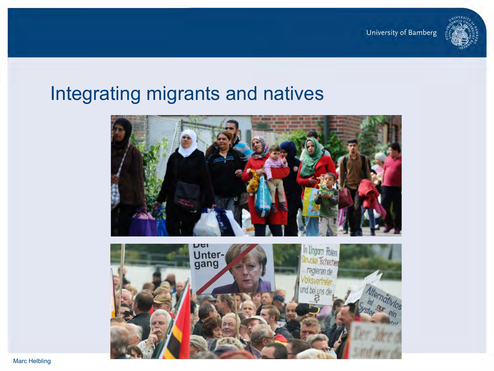

#### Integrating migrants and natives

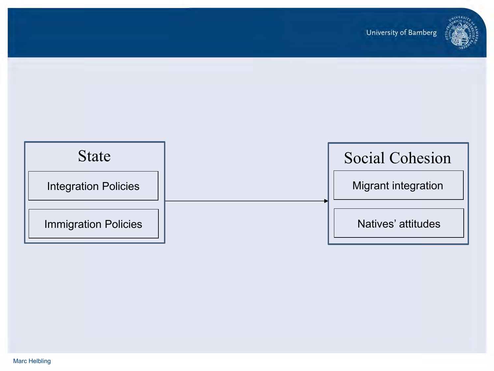

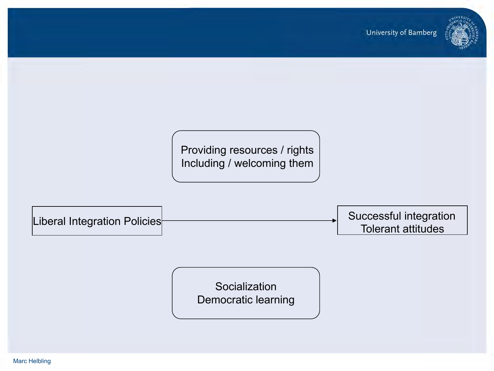

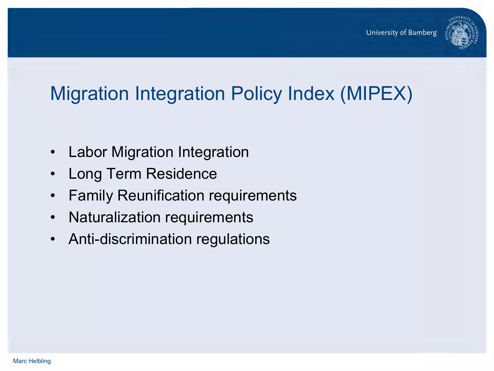

# Migration Integration Policy Index (MIPEX)

- Labor Migration Integration
- Long Term Residence
- Family Reunification requirements
- Naturalization requirements
- Anti-discrimination regulations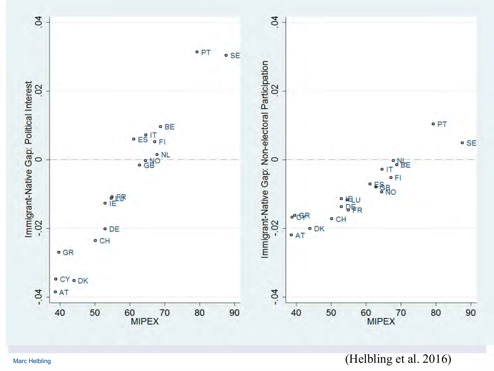

Marc Helbling  $(Heibling et al. 2016)$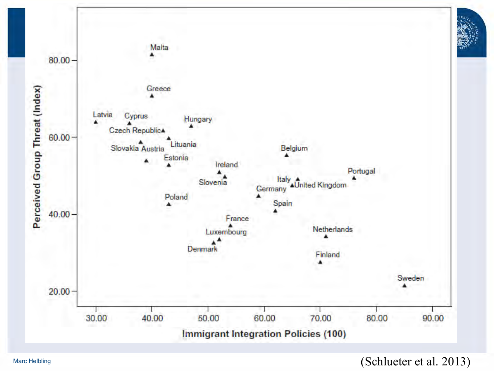

(Schlueter et al. 2013)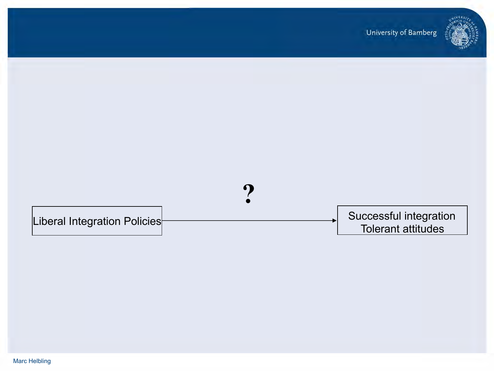

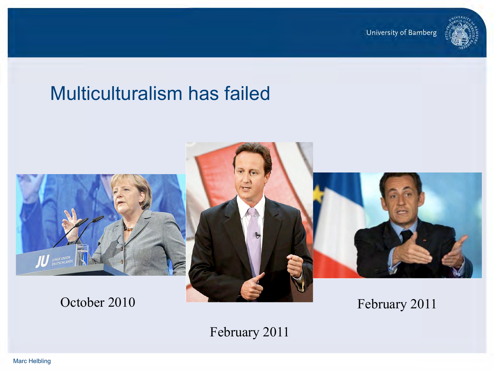

### Multiculturalism has failed



February 2011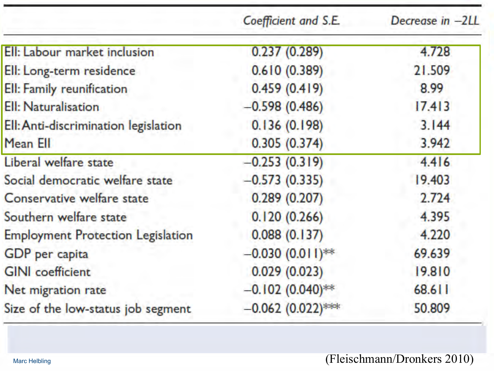|                                          | Coefficient and S.E. | Decrease in -2LL |
|------------------------------------------|----------------------|------------------|
| Ell: Labour market inclusion             | 0.237(0.289)         | 4.728            |
| Ell: Long-term residence                 | 0.610(0.389)         | 21.509           |
| Ell: Family reunification                | 0.459(0.419)         | 8.99             |
| Ell: Naturalisation                      | $-0.598(0.486)$      | 17.413           |
| Ell: Anti-discrimination legislation     | 0.136(0.198)         | 3.144            |
| Mean Ell                                 | 0.305(0.374)         | 3.942            |
| Liberal welfare state                    | $-0.253(0.319)$      | 4.416            |
| Social democratic welfare state          | $-0.573(0.335)$      | 19.403           |
| Conservative welfare state               | 0.289(0.207)         | 2.724            |
| Southern welfare state                   | 0.120(0.266)         | 4.395            |
| <b>Employment Protection Legislation</b> | 0.088(0.137)         | 4.220            |
| GDP per capita                           | $-0.030(0.011)$ **   | 69.639           |
| <b>GINI</b> coefficient                  | 0.029(0.023)         | 19.810           |
| Net migration rate                       | $-0.102(0.040)$ **   | 68.611           |
| Size of the low-status job segment       | $-0.062$ (0.022)***  | 50.809           |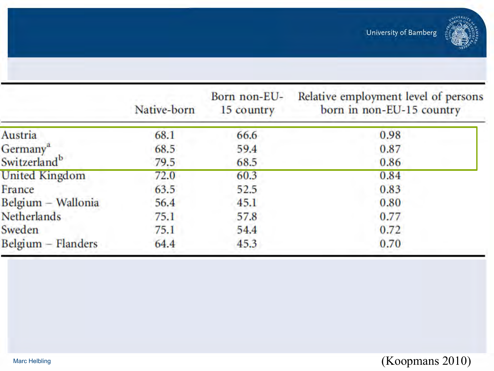

|                          | Native-born | Born non-EU-<br>15 country | Relative employment level of persons<br>born in non-EU-15 country |
|--------------------------|-------------|----------------------------|-------------------------------------------------------------------|
| Austria                  | 68.1        | 66.6                       | 0.98                                                              |
| Germany <sup>a</sup>     | 68.5        | 59.4                       | 0.87                                                              |
| Switzerland <sup>b</sup> | 79.5        | 68.5                       | 0.86                                                              |
| United Kingdom           | 72.0        | 60.3                       | 0.84                                                              |
| France                   | 63.5        | 52.5                       | 0.83                                                              |
| Belgium - Wallonia       | 56.4        | 45.1                       | 0.80                                                              |
| <b>Netherlands</b>       | 75.1        | 57.8                       | 0.77                                                              |
| Sweden                   | 75.1        | 54.4                       | 0.72                                                              |
| $Belgium - Flanders$     | 64.4        | 45.3                       | 0.70                                                              |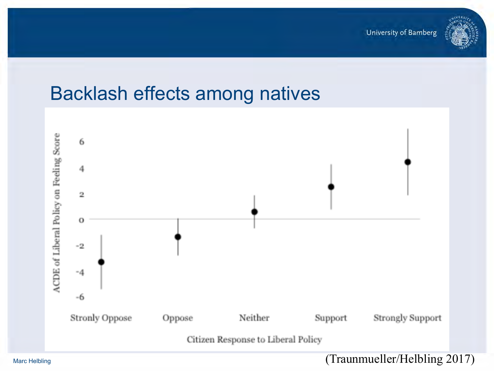

#### Backlash effects among natives

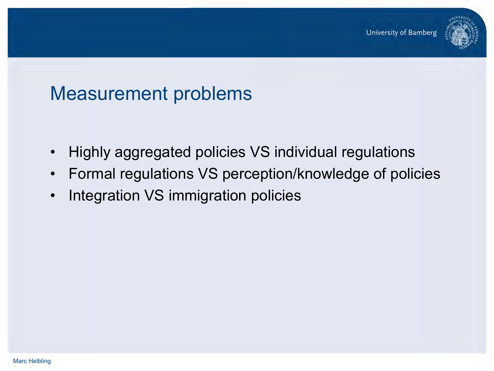

#### Measurement problems

- Highly aggregated policies VS individual regulations
- Formal regulations VS perception/knowledge of policies
- Integration VS immigration policies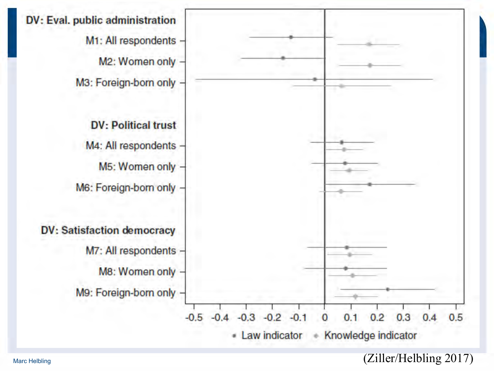

Marc Helbling  $(Ziller/Helbling 2017)$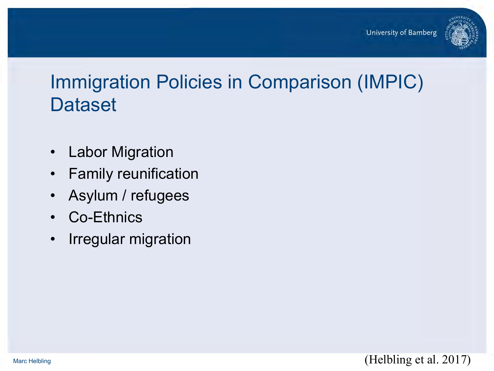

## Immigration Policies in Comparison (IMPIC) **Dataset**

- Labor Migration
- Family reunification
- Asylum / refugees
- Co-Ethnics
- Irregular migration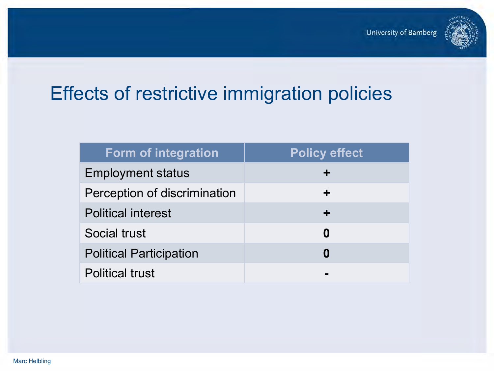

# Effects of restrictive immigration policies

| <b>Form of integration</b>     | <b>Policy effect</b> |
|--------------------------------|----------------------|
| <b>Employment status</b>       |                      |
| Perception of discrimination   | ÷                    |
| <b>Political interest</b>      | $\div$               |
| Social trust                   | 0                    |
| <b>Political Participation</b> | 0                    |
| <b>Political trust</b>         |                      |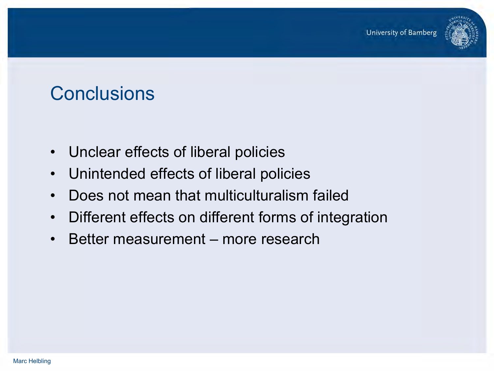

# **Conclusions**

- Unclear effects of liberal policies
- Unintended effects of liberal policies
- Does not mean that multiculturalism failed
- Different effects on different forms of integration
- Better measurement more research